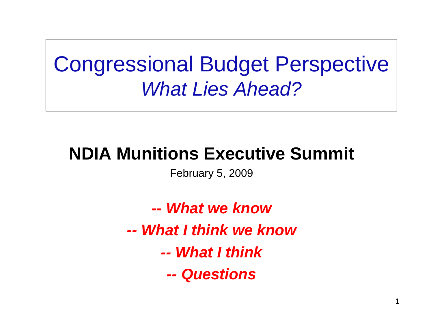# Congressional Budget Perspective *What Lies Ahead?*

### **NDIA Munitions Executive Summit**

February 5, 2009

*-- What we know-- What I think we know-- What I think-- Questions*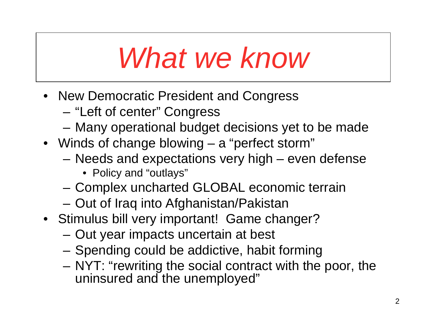# *What we know*

- New Democratic President and Congress
	- "Left of center" Congress
	- Many operational budget decisions yet to be made
- Winds of change blowing a "perfect storm"
	- Needs and expectations very high even defense
		- Policy and "outlays"
	- Complex uncharted GLOBAL economic terrain
	- Out of Iraq into Afghanistan/Pakistan
- Stimulus bill very important! Game changer?
	- Out year impacts uncertain at best
	- Spending could be addictive, habit forming
	- NYT: "rewriting the social contract with the poor, the uninsured and the unemployed"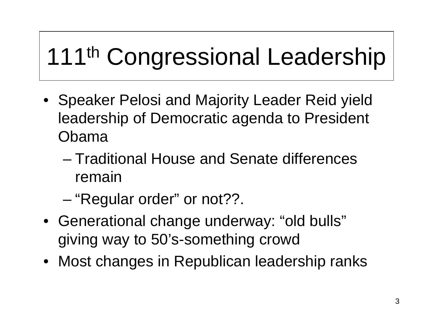# 111<sup>th</sup> Congressional Leadership

- Speaker Pelosi and Majority Leader Reid yield leadership of Democratic agenda to President Obama
	- Traditional House and Senate differences remain
	- "Regular order" or not??.
- Generational change underway: "old bulls" giving way to 50's-something crowd
- Most changes in Republican leadership ranks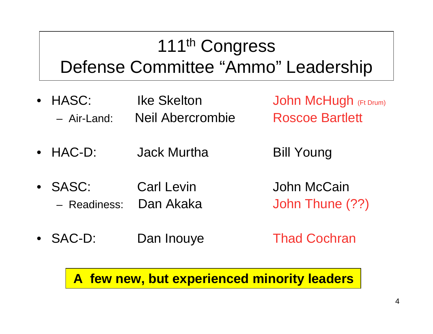## 111<sup>th</sup> Congress Defense Committee "Ammo" Leadership

- HASC: Ike Skelton John McHugh (Ft Drum) – Air-Land: Neil Abercrombie Roscoe Bartlett
	-
- HAC-D: Jack Murtha Bill Young
- 
- SASC: Carl Levin John McCain – Readiness: Dan Akaka John Thune (??)
- 
- SAC-D: Dan Inouye Thad Cochran

**A few new, but experienced minority leaders**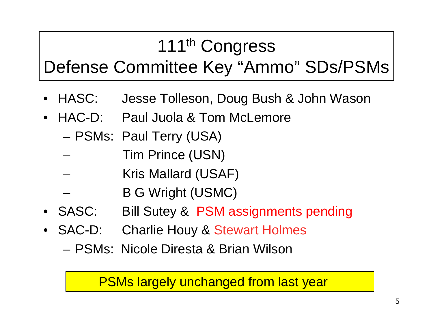## 111<sup>th</sup> Congress Defense Committee Key "Ammo" SDs/PSMs

- HASC: Jesse Tolleson, Doug Bush & John Wason
- HAC-D: Paul Juola & Tom McLemore
	- PSMs: Paul Terry (USA)
	- Tim Prince (USN)
	- Kris Mallard (USAF)
	- B G Wright (USMC)
- SASC: Bill Sutey & PSM assignments pending
- SAC-D: Charlie Houy & Stewart Holmes
	- PSMs: Nicole Diresta & Brian Wilson

#### PSMs largely unchanged from last year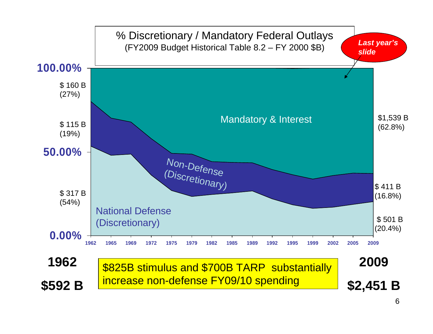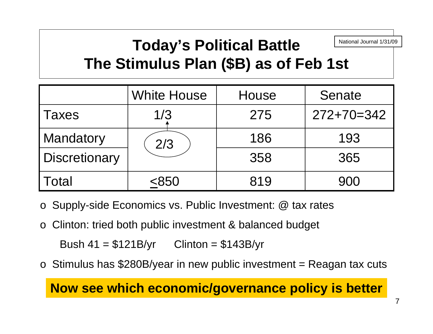#### **Today's Political Battle The Stimulus Plan (\$B) as of Feb 1st** National Journal 1/31/09

|               | <b>White House</b> | House | Senate       |
|---------------|--------------------|-------|--------------|
| <b>Taxes</b>  | 1/3                | 275   | $272+70=342$ |
| Mandatory     | 2/3                | 186   | 193          |
| Discretionary |                    | 358   | 365          |
| <b>Total</b>  | < 850              | 819   | 900          |

- o Supply-side Economics vs. Public Investment: @ tax rates
- oClinton: tried both public investment & balanced budget

Bush  $41 = $121B/yr$  Clinton = \$143B/yr

o Stimulus has \$280B/year in new public investment = Reagan tax cuts

**Now see which economic/governance policy is better**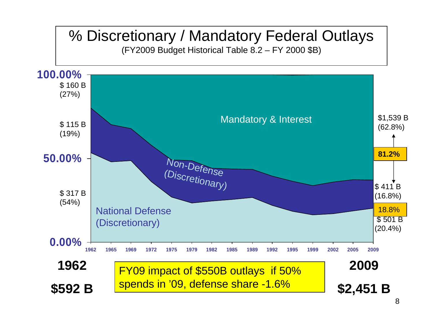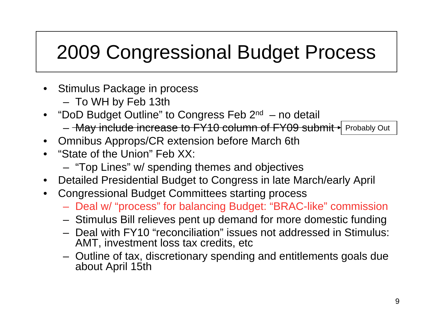## 2009 Congressional Budget Process

- Stimulus Package in process
	- To WH by Feb 13th
- "DoD Budget Outline" to Congress Feb  $2^{nd}$  no detail – <del>May include increase to FY10 column of FY09 submit ∤</del> Probably Out
- Omnibus Approps/CR extension before March 6th
- "State of the Union" Feb XX:
	- "Top Lines" w/ spending themes and objectives
- Detailed Presidential Budget to Congress in late March/early April
- Congressional Budget Committees starting process
	- Deal w/ "process" for balancing Budget: "BRAC-like" commission
	- Stimulus Bill relieves pent up demand for more domestic funding
	- Deal with FY10 "reconciliation" issues not addressed in Stimulus: AMT, investment loss tax credits, etc
	- Outline of tax, discretionary spending and entitlements goals due about April 15th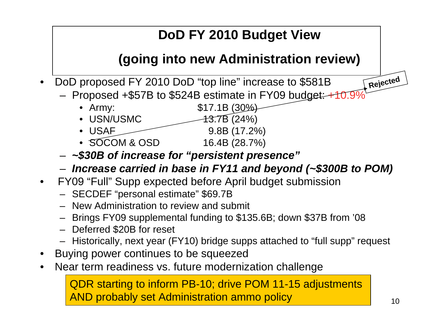#### **DoD FY 2010 Budget View**

#### **(going into new Administration review)**

- DoD proposed FY 2010 DoD "top line" increase to \$581B
	- Proposed  $+$ \$57B to \$524B estimate in FY09 budget:  $+$ 10.99
		- Army: \$17.1B (30%)
		- USN/USMC  $-13.7B(24%)$
		- USAF 9.8B (17.2%)
		- SOCOM & OSD 16.4B (28.7%)
	- *~\$30B of increase for "persistent presence"*
	- *Increase carried in base in FY11 and beyond (~\$300B to POM)*
- FY09 "Full" Supp expected before April budget submission
	- SECDEF "personal estimate" \$69.7B
	- New Administration to review and submit
	- Brings FY09 supplemental funding to \$135.6B; down \$37B from '08
	- Deferred \$20B for reset
	- Historically, next year (FY10) bridge supps attached to "full supp" request
- Buying power continues to be squeezed
- Near term readiness vs. future modernization challenge

QDR starting to inform PB-10; drive POM 11-15 adjustments AND probably set Administration ammo policy

**Rejected**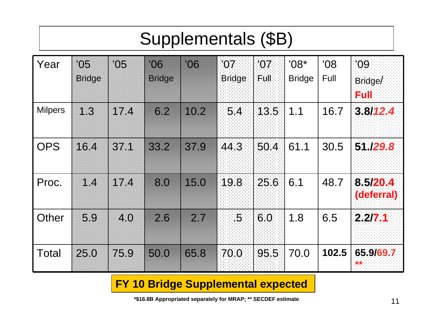### Supplementals (\$B)

| Year           | '05<br><b>Bridge</b> | '05  | '06<br><b>Bridge</b> | '06  | 107<br><b>Bridge</b> | '07<br>Full | $08*$<br><b>Bridge</b> | '08<br>Full | '09<br>Bridge/<br><b>Full</b> |
|----------------|----------------------|------|----------------------|------|----------------------|-------------|------------------------|-------------|-------------------------------|
| <b>Milpers</b> | 1.3                  | 17.4 | 6.2                  | 10.2 | 54                   | 13.5        | 1.1                    | 16.7        | 3.8/12.4                      |
| <b>OPS</b>     | 16.4                 | 37.1 | 33.2                 | 37.9 | 44.3                 | 50.4        | 61.1                   | 30.5        | 51 /29.8                      |
| Proc.          | 1.4                  | 17.4 | 8.0                  | 15.0 | 19.8                 | 25.6        | 6.1                    | 48.7        | 8.5/20.4<br>(deferral)        |
| Other          | 5.9                  | 4.0  | 2.6                  | 2.7  | 15,                  | 60          | 1.8                    | 6.5         | 2.2/7.1                       |
| Total          | 25.0                 | 75.9 | 50.0                 | 65.8 | 70.0                 | 95 5        | 70.0                   | 102.5       | 65 9/69.7                     |

#### **FY 10 Bridge Supplemental expected**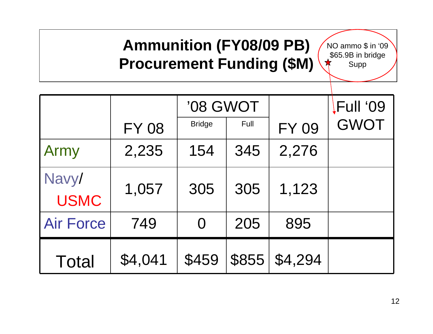#### **Ammunition (FY08/09 PB) Procurement Funding (\$M)**

NO ammo \$ in '09  $$65.9B$  in bridge Supp

|                      |              | '08 GWOT      |       |              | Full '09    |
|----------------------|--------------|---------------|-------|--------------|-------------|
|                      | <b>FY 08</b> | <b>Bridge</b> | Full  | <b>FY 09</b> | <b>GWOT</b> |
| Army                 | 2,235        | 154           | 345   | 2,276        |             |
| Navy/<br><b>USMC</b> | 1,057        | 305           | 305   | 1,123        |             |
| <b>Air Force</b>     | 749          | $\Omega$      | 205   | 895          |             |
| <b>Total</b>         | \$4,041      | \$459         | \$855 | \$4,294      |             |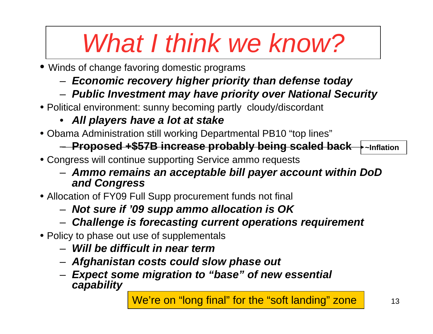# *What I think we know?*

- Winds of change favoring domestic programs
	- *Economic recovery higher priority than defense today*
	- *Public Investment may have priority over National Security*
- Political environment: sunny becoming partly cloudy/discordant
	- *All players have a lot at stake*
- Obama Administration still working Departmental PB10 "top lines"

#### – **Proposed +\$57B increase probably being scaled back ~Inflation**

- Congress will continue supporting Service ammo requests
	- *Ammo remains an acceptable bill payer account within DoD and Congress*
- Allocation of FY09 Full Supp procurement funds not final
	- *Not sure if '09 supp ammo allocation is OK*
	- *Challenge is forecasting current operations requirement*
- Policy to phase out use of supplementals
	- *Will be difficult in near term*
	- *Afghanistan costs could slow phase out*
	- *Expect some migration to "base" of new essential capability*

13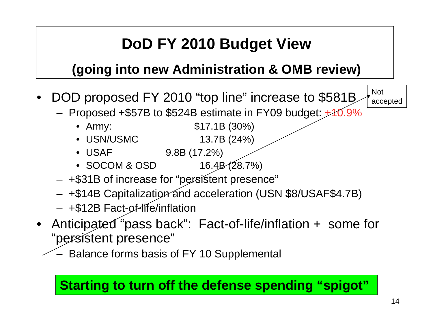### **DoD FY 2010 Budget View**

#### **(going into new Administration & OMB review)**

- DOD proposed FY 2010 "top line" increase to \$581B
	- Proposed  $+$ \$57B to \$524B estimate in FY09 budget:  $+$ 40.9%
		- Army: \$17.1B (30%)
		-
		- USN/USMC 13.7B (24%)
		- USAF 9.8B (17.2%)
		- SOCOM & OSD  $16.4B(28.7%)$
	- +\$31B of increase for "persistent presence"
	- +\$14B Capitalization and acceleration (USN \$8/USAF\$4.7B)
	- +\$12B Fact-of-life/inflation
- Anticipated "pass back": Fact-of-life/inflation + some for "persistent presence"
	- Balance forms basis of FY 10 Supplemental

#### **Starting to turn off the defense spending "spigot"**

Not

accepted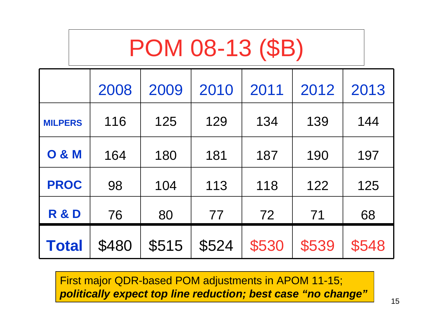# POM 08-13 (\$B)

|                  | 2008  | 2009  | 2010  | 2011  | 2012  | 2013  |
|------------------|-------|-------|-------|-------|-------|-------|
| <b>MILPERS</b>   | 116   | 125   | 129   | 134   | 139   | 144   |
| <b>O &amp; M</b> | 164   | 180   | 181   | 187   | 190   | 197   |
| <b>PROC</b>      | 98    | 104   | 113   | 118   | 122   | 125   |
| <b>R &amp; D</b> | 76    | 80    | 77    | 72    | 71    | 68    |
| <b>Total</b>     | \$480 | \$515 | \$524 | \$530 | \$539 | \$548 |

First major QDR-based POM adjustments in APOM 11-15; *politically expect top line reduction; best case "no change"*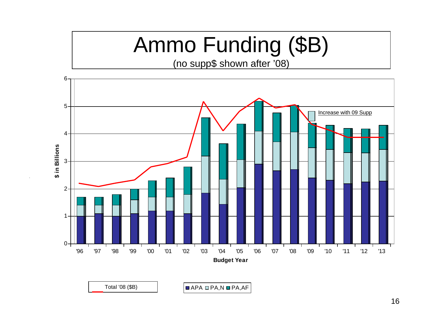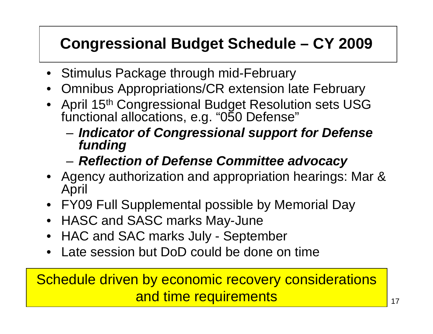### **Congressional Budget Schedule – CY 2009**

- Stimulus Package through mid-February
- Omnibus Appropriations/CR extension late February
- April 15<sup>th</sup> Congressional Budget Resolution sets USG functional allocations, e.g. "050 Defense"
	- *Indicator of Congressional support for Defense funding*
	- *Reflection of Defense Committee advocacy*
- Agency authorization and appropriation hearings: Mar & April
- FY09 Full Supplemental possible by Memorial Day
- HASC and SASC marks May-June
- HAC and SAC marks July September
- Late session but DoD could be done on time

Schedule driven by economic recovery considerations and time requirements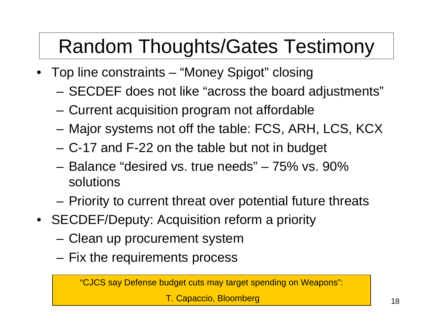# Random Thoughts/Gates Testimony

- Top line constraints "Money Spigot" closing
	- SECDEF does not like "across the board adjustments"
	- Current acquisition program not affordable
	- Major systems not off the table: FCS, ARH, LCS, KCX
	- C-17 and F-22 on the table but not in budget
	- Balance "desired vs. true needs" 75% vs. 90% solutions
	- Priority to current threat over potential future threats
- SECDEF/Deputy: Acquisition reform a priority
	- Clean up procurement system
	- Fix the requirements process

"CJCS say Defense budget cuts may target spending on Weapons":

T. Capaccio, Bloomberg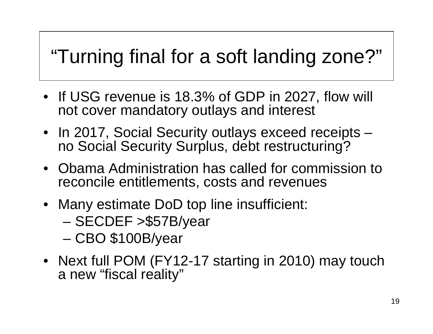# "Turning final for a soft landing zone?"

- If USG revenue is 18.3% of GDP in 2027, flow will not cover mandatory outlays and interest
- In 2017, Social Security outlays exceed receipts no Social Security Surplus, debt restructuring?
- Obama Administration has called for commission to reconcile entitlements, costs and revenues
- Many estimate DoD top line insufficient:
	- SECDEF >\$57B/year
	- CBO \$100B/year
- Next full POM (FY12-17 starting in 2010) may touch a new "fiscal reality"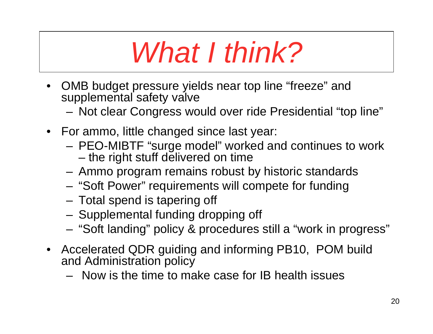# *What I think?*

- OMB budget pressure yields near top line "freeze" and supplemental safety valve
	- Not clear Congress would over ride Presidential "top line"
- For ammo, little changed since last year:
	- PEO-MIBTF "surge model" worked and continues to work – the right stuff delivered on time
	- Ammo program remains robust by historic standards
	- "Soft Power" requirements will compete for funding
	- Total spend is tapering off
	- Supplemental funding dropping off
	- "Soft landing" policy & procedures still a "work in progress"
- Accelerated QDR guiding and informing PB10, POM build and Administration policy
	- Now is the time to make case for IB health issues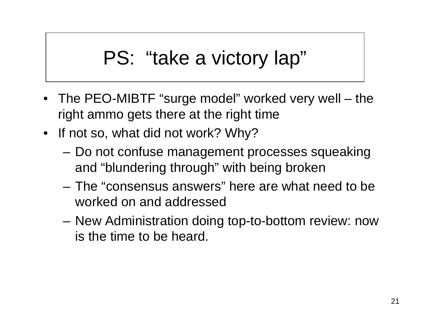# PS: "take a victory lap"

- The PEO-MIBTF "surge model" worked very well the right ammo gets there at the right time
- If not so, what did not work? Why?
	- Do not confuse management processes squeaking and "blundering through" with being broken
	- The "consensus answers" here are what need to be worked on and addressed
	- New Administration doing top-to-bottom review: now is the time to be heard.